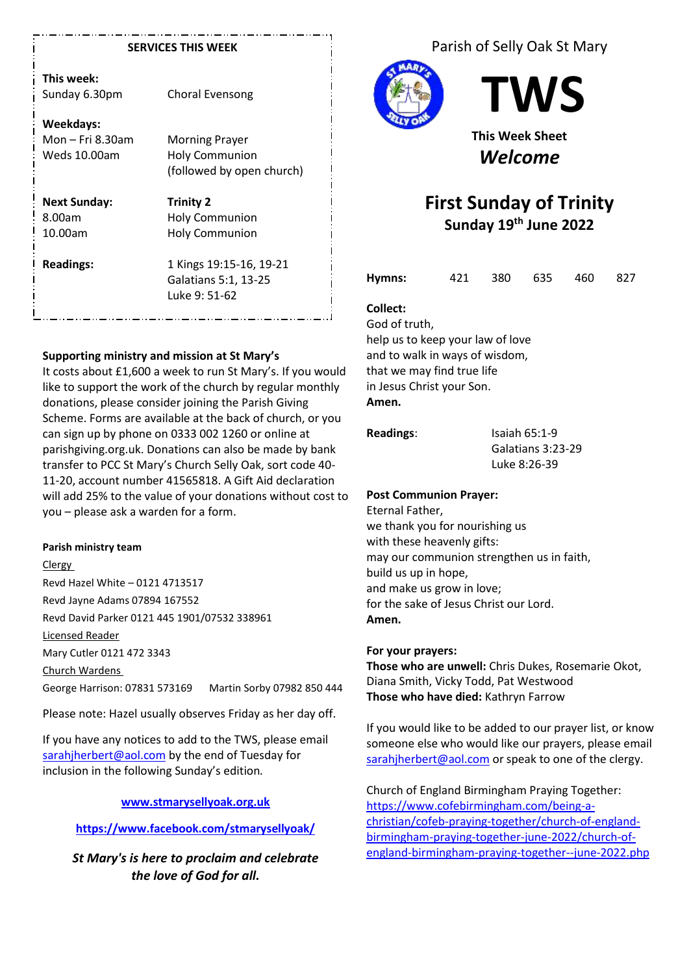#### **SERVICES THIS WEEK**

| This week:    |  |
|---------------|--|
| Sunday 6.30pm |  |

**Weekdays:** Mon – Fri 8.30am Morning Prayer Weds 10.00am Holy Communion

**Next Sunday: Trinity 2**

(followed by open church)

8.00am Holy Communion 10.00am Holy Communion

Choral Evensong

**Readings:** 1 Kings 19:15-16, 19-21 Galatians 5:1, 13-25 Luke 9: 51-62

#### **Supporting ministry and mission at St Mary's**

It costs about £1,600 a week to run St Mary's. If you would like to support the work of the church by regular monthly donations, please consider joining the Parish Giving Scheme. Forms are available at the back of church, or you can sign up by phone on 0333 002 1260 or online at parishgiving.org.uk. Donations can also be made by bank transfer to PCC St Mary's Church Selly Oak, sort code 40- 11-20, account number 41565818. A Gift Aid declaration will add 25% to the value of your donations without cost to you – please ask a warden for a form.

#### **Parish ministry team**

Clergy Revd Hazel White – 0121 4713517 Revd Jayne Adams 07894 167552 Revd David Parker 0121 445 1901/07532 338961 Licensed Reader Mary Cutler 0121 472 3343 Church Wardens George Harrison: 07831 573169 Martin Sorby 07982 850 444

Please note: Hazel usually observes Friday as her day off.

If you have any notices to add to the TWS, please email [sarahjherbert@aol.com](mailto:sarahjherbert@aol.com) by the end of Tuesday for inclusion in the following Sunday's edition*.*

#### **[www.stmarysellyoak.org.uk](http://www.stmarysellyoak.org.uk/)**

# **<https://www.facebook.com/stmarysellyoak/>**

*St Mary's is here to proclaim and celebrate the love of God for all.*

Parish of Selly Oak St Mary



**TWS**

**This Week Sheet** *Welcome*

# **First Sunday of Trinity Sunday 19 th June 2022**

| Hymns: |  | 421 380 635 460 827 |  |
|--------|--|---------------------|--|
|        |  |                     |  |

# **Collect:**

God of truth, help us to keep your law of love and to walk in ways of wisdom, that we may find true life in Jesus Christ your Son. **Amen.**

#### **Readings:** Isaiah 65:1-9

Galatians 3:23-29 Luke 8:26-39

#### **Post Communion Prayer:**

Eternal Father, we thank you for nourishing us with these heavenly gifts: may our communion strengthen us in faith, build us up in hope, and make us grow in love; for the sake of Jesus Christ our Lord. **Amen.**

#### **For your prayers:**

**Those who are unwell:** Chris Dukes, Rosemarie Okot, Diana Smith, Vicky Todd, Pat Westwood **Those who have died:** Kathryn Farrow

If you would like to be added to our prayer list, or know someone else who would like our prayers, please email [sarahjherbert@aol.com](mailto:sarahjherbert@aol.com) or speak to one of the clergy.

Church of England Birmingham Praying Together: [https://www.cofebirmingham.com/being-a](https://www.cofebirmingham.com/being-a-christian/cofeb-praying-together/church-of-england-birmingham-praying-together-june-2022/church-of-england-birmingham-praying-together--june-2022.php)[christian/cofeb-praying-together/church-of-england](https://www.cofebirmingham.com/being-a-christian/cofeb-praying-together/church-of-england-birmingham-praying-together-june-2022/church-of-england-birmingham-praying-together--june-2022.php)[birmingham-praying-together-june-2022/church-of](https://www.cofebirmingham.com/being-a-christian/cofeb-praying-together/church-of-england-birmingham-praying-together-june-2022/church-of-england-birmingham-praying-together--june-2022.php)[england-birmingham-praying-together--june-2022.php](https://www.cofebirmingham.com/being-a-christian/cofeb-praying-together/church-of-england-birmingham-praying-together-june-2022/church-of-england-birmingham-praying-together--june-2022.php)